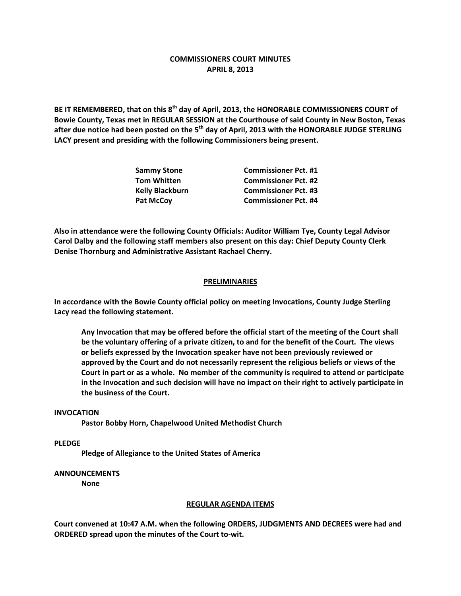# **COMMISSIONERS COURT MINUTES APRIL 8, 2013**

**BE IT REMEMBERED, that on this 8th day of April, 2013, the HONORABLE COMMISSIONERS COURT of Bowie County, Texas met in REGULAR SESSION at the Courthouse of said County in New Boston, Texas after due notice had been posted on the 5th day of April, 2013 with the HONORABLE JUDGE STERLING LACY present and presiding with the following Commissioners being present.**

| <b>Sammy Stone</b>     | <b>Commissioner Pct. #1</b> |
|------------------------|-----------------------------|
| <b>Tom Whitten</b>     | <b>Commissioner Pct. #2</b> |
| <b>Kelly Blackburn</b> | <b>Commissioner Pct. #3</b> |
| <b>Pat McCoy</b>       | <b>Commissioner Pct. #4</b> |

**Also in attendance were the following County Officials: Auditor William Tye, County Legal Advisor Carol Dalby and the following staff members also present on this day: Chief Deputy County Clerk Denise Thornburg and Administrative Assistant Rachael Cherry.**

## **PRELIMINARIES**

**In accordance with the Bowie County official policy on meeting Invocations, County Judge Sterling Lacy read the following statement.**

**Any Invocation that may be offered before the official start of the meeting of the Court shall be the voluntary offering of a private citizen, to and for the benefit of the Court. The views or beliefs expressed by the Invocation speaker have not been previously reviewed or approved by the Court and do not necessarily represent the religious beliefs or views of the Court in part or as a whole. No member of the community is required to attend or participate in the Invocation and such decision will have no impact on their right to actively participate in the business of the Court.**

#### **INVOCATION**

**Pastor Bobby Horn, Chapelwood United Methodist Church**

**PLEDGE**

**Pledge of Allegiance to the United States of America**

### **ANNOUNCEMENTS**

**None**

#### **REGULAR AGENDA ITEMS**

**Court convened at 10:47 A.M. when the following ORDERS, JUDGMENTS AND DECREES were had and ORDERED spread upon the minutes of the Court to-wit.**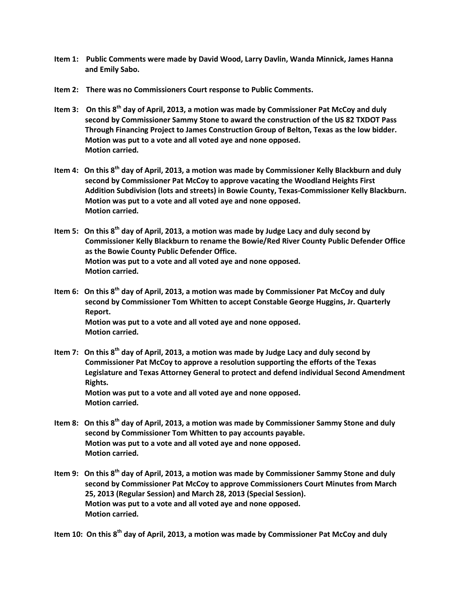- **Item 1: Public Comments were made by David Wood, Larry Davlin, Wanda Minnick, James Hanna and Emily Sabo.**
- **Item 2: There was no Commissioners Court response to Public Comments.**
- **Item 3: On this 8th day of April, 2013, a motion was made by Commissioner Pat McCoy and duly second by Commissioner Sammy Stone to award the construction of the US 82 TXDOT Pass Through Financing Project to James Construction Group of Belton, Texas as the low bidder. Motion was put to a vote and all voted aye and none opposed. Motion carried.**
- **Item 4: On this 8th day of April, 2013, a motion was made by Commissioner Kelly Blackburn and duly second by Commissioner Pat McCoy to approve vacating the Woodland Heights First Addition Subdivision (lots and streets) in Bowie County, Texas-Commissioner Kelly Blackburn. Motion was put to a vote and all voted aye and none opposed. Motion carried.**
- **Item 5: On this 8th day of April, 2013, a motion was made by Judge Lacy and duly second by Commissioner Kelly Blackburn to rename the Bowie/Red River County Public Defender Office as the Bowie County Public Defender Office. Motion was put to a vote and all voted aye and none opposed. Motion carried.**
- **Item 6: On this 8th day of April, 2013, a motion was made by Commissioner Pat McCoy and duly second by Commissioner Tom Whitten to accept Constable George Huggins, Jr. Quarterly Report. Motion was put to a vote and all voted aye and none opposed. Motion carried.**
- **Item 7: On this 8th day of April, 2013, a motion was made by Judge Lacy and duly second by Commissioner Pat McCoy to approve a resolution supporting the efforts of the Texas Legislature and Texas Attorney General to protect and defend individual Second Amendment Rights. Motion was put to a vote and all voted aye and none opposed. Motion carried.**
- **Item 8: On this 8th day of April, 2013, a motion was made by Commissioner Sammy Stone and duly second by Commissioner Tom Whitten to pay accounts payable. Motion was put to a vote and all voted aye and none opposed. Motion carried.**
- **Item 9: On this 8th day of April, 2013, a motion was made by Commissioner Sammy Stone and duly second by Commissioner Pat McCoy to approve Commissioners Court Minutes from March 25, 2013 (Regular Session) and March 28, 2013 (Special Session). Motion was put to a vote and all voted aye and none opposed. Motion carried.**

**Item 10: On this 8th day of April, 2013, a motion was made by Commissioner Pat McCoy and duly**